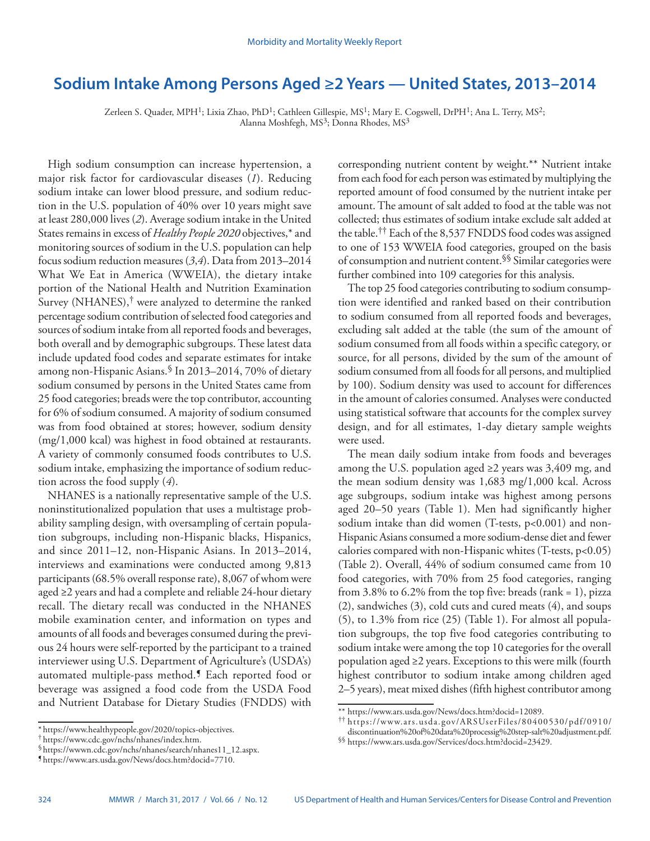# **Sodium Intake Among Persons Aged ≥2 Years — United States, 2013–2014**

Zerleen S. Quader, MPH<sup>1</sup>; Lixia Zhao, PhD<sup>1</sup>; Cathleen Gillespie, MS<sup>1</sup>; Mary E. Cogswell, DrPH<sup>1</sup>; Ana L. Terry, MS<sup>2</sup>; Alanna Moshfegh, MS<sup>3</sup>; Donna Rhodes, MS<sup>3</sup>

High sodium consumption can increase hypertension, a major risk factor for cardiovascular diseases (*1*). Reducing sodium intake can lower blood pressure, and sodium reduction in the U.S. population of 40% over 10 years might save at least 280,000 lives (*2*). Average sodium intake in the United States remains in excess of *Healthy People 2020* objectives,\* and monitoring sources of sodium in the U.S. population can help focus sodium reduction measures (*3*,*4*). Data from 2013–2014 What We Eat in America (WWEIA), the dietary intake portion of the National Health and Nutrition Examination Survey (NHANES),† were analyzed to determine the ranked percentage sodium contribution of selected food categories and sources of sodium intake from all reported foods and beverages, both overall and by demographic subgroups. These latest data include updated food codes and separate estimates for intake among non-Hispanic Asians.§ In 2013–2014, 70% of dietary sodium consumed by persons in the United States came from 25 food categories; breads were the top contributor, accounting for 6% of sodium consumed. A majority of sodium consumed was from food obtained at stores; however, sodium density (mg/1,000 kcal) was highest in food obtained at restaurants. A variety of commonly consumed foods contributes to U.S. sodium intake, emphasizing the importance of sodium reduction across the food supply (*4*).

NHANES is a nationally representative sample of the U.S. noninstitutionalized population that uses a multistage probability sampling design, with oversampling of certain population subgroups, including non-Hispanic blacks, Hispanics, and since 2011–12, non-Hispanic Asians. In 2013–2014, interviews and examinations were conducted among 9,813 participants (68.5% overall response rate), 8,067 of whom were aged ≥2 years and had a complete and reliable 24-hour dietary recall. The dietary recall was conducted in the NHANES mobile examination center, and information on types and amounts of all foods and beverages consumed during the previous 24 hours were self-reported by the participant to a trained interviewer using U.S. Department of Agriculture's (USDA's) automated multiple-pass method.¶ Each reported food or beverage was assigned a food code from the USDA Food and Nutrient Database for Dietary Studies (FNDDS) with corresponding nutrient content by weight.\*\* Nutrient intake from each food for each person was estimated by multiplying the reported amount of food consumed by the nutrient intake per amount. The amount of salt added to food at the table was not collected; thus estimates of sodium intake exclude salt added at the table.†† Each of the 8,537 FNDDS food codes was assigned to one of 153 WWEIA food categories, grouped on the basis of consumption and nutrient content.§§ Similar categories were further combined into 109 categories for this analysis.

The top 25 food categories contributing to sodium consumption were identified and ranked based on their contribution to sodium consumed from all reported foods and beverages, excluding salt added at the table (the sum of the amount of sodium consumed from all foods within a specific category, or source, for all persons, divided by the sum of the amount of sodium consumed from all foods for all persons, and multiplied by 100). Sodium density was used to account for differences in the amount of calories consumed. Analyses were conducted using statistical software that accounts for the complex survey design, and for all estimates, 1-day dietary sample weights were used.

The mean daily sodium intake from foods and beverages among the U.S. population aged  $\geq$ 2 years was 3,409 mg, and the mean sodium density was 1,683 mg/1,000 kcal. Across age subgroups, sodium intake was highest among persons aged 20–50 years (Table 1). Men had significantly higher sodium intake than did women (T-tests, p<0.001) and non-Hispanic Asians consumed a more sodium-dense diet and fewer calories compared with non-Hispanic whites (T-tests, p<0.05) (Table 2). Overall, 44% of sodium consumed came from 10 food categories, with 70% from 25 food categories, ranging from  $3.8\%$  to  $6.2\%$  from the top five: breads (rank = 1), pizza (2), sandwiches (3), cold cuts and cured meats (4), and soups (5), to 1.3% from rice (25) (Table 1). For almost all population subgroups, the top five food categories contributing to sodium intake were among the top 10 categories for the overall population aged ≥2 years. Exceptions to this were milk (fourth highest contributor to sodium intake among children aged 2–5 years), meat mixed dishes (fifth highest contributor among

<sup>\*</sup> [https://www.healthypeople.gov/2020/topics-objectives.](https://www.healthypeople.gov/2020/topics-objectives) † [https://www.cdc.gov/nchs/nhanes/index.htm.](https://www.cdc.gov/nchs/nhanes/index.htm) §[https://wwwn.cdc.gov/nchs/nhanes/search/nhanes11\\_12.aspx](https://wwwn.cdc.gov/nchs/nhanes/search/nhanes11_12.aspx). ¶ <https://www.ars.usda.gov/News/docs.htm?docid=7710>.

<sup>\*\*</sup> [https://www.ars.usda.gov/News/docs.htm?docid=12089.](https://www.ars.usda.gov/News/docs.htm?docid=12089) †† [https://www.ars.usda.gov/ARSUserFiles/80400530/pdf/0910/](https://www.ars.usda.gov/ARSUserFiles/80400530/pdf/0910/discontinuation%20of%20data%20processig%20step-salt%20adjustment.pdf)

<sup>§§</sup> <https://www.ars.usda.gov/Services/docs.htm?docid=23429>.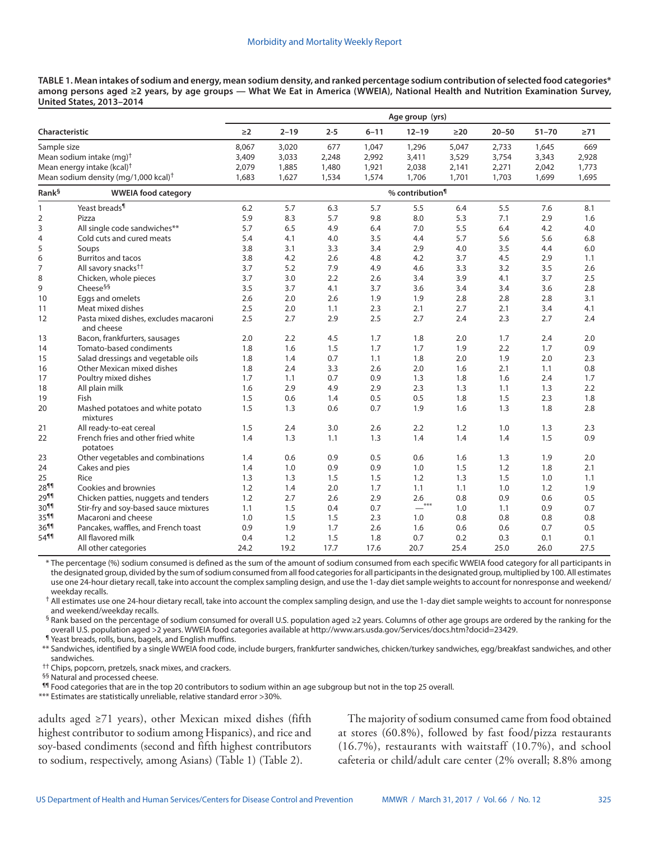**TABLE 1. Mean intakes of sodium and energy, mean sodium density, and ranked percentage sodium contribution of selected food categories\* among persons aged ≥2 years, by age groups — What We Eat in America (WWEIA), National Health and Nutrition Examination Survey, United States, 2013–2014**

|                                      |                                                     | Age group (yrs)             |          |         |          |           |           |           |           |           |
|--------------------------------------|-----------------------------------------------------|-----------------------------|----------|---------|----------|-----------|-----------|-----------|-----------|-----------|
| Characteristic                       |                                                     | $\geq$ 2                    | $2 - 19$ | $2 - 5$ | $6 - 11$ | $12 - 19$ | $\geq$ 20 | $20 - 50$ | $51 - 70$ | $\geq 71$ |
| Sample size                          |                                                     | 8,067                       | 3,020    | 677     | 1,047    | 1,296     | 5,047     | 2,733     | 1,645     | 669       |
| Mean sodium intake (mg) <sup>†</sup> |                                                     | 3,409                       | 3,033    | 2,248   | 2,992    | 3,411     | 3,529     | 3,754     | 3,343     | 2,928     |
|                                      | Mean energy intake (kcal) <sup>†</sup>              | 2,079                       | 1,885    | 1,480   | 1,921    | 2,038     | 2,141     | 2,271     | 2,042     | 1,773     |
|                                      | Mean sodium density (mg/1,000 kcal) <sup>†</sup>    | 1,683                       | 1,627    | 1,534   | 1,574    | 1,706     | 1,701     | 1,703     | 1,699     | 1,695     |
| Rank <sup>§</sup>                    | <b>WWEIA food category</b>                          | % contribution <sup>¶</sup> |          |         |          |           |           |           |           |           |
| $\mathbf{1}$                         | Yeast breads <sup>¶</sup>                           | 6.2                         | 5.7      | 6.3     | 5.7      | 5.5       | 6.4       | 5.5       | 7.6       | 8.1       |
| $\overline{2}$                       | Pizza                                               | 5.9                         | 8.3      | 5.7     | 9.8      | 8.0       | 5.3       | 7.1       | 2.9       | 1.6       |
| 3                                    | All single code sandwiches**                        | 5.7                         | 6.5      | 4.9     | 6.4      | 7.0       | 5.5       | 6.4       | 4.2       | 4.0       |
| $\overline{4}$                       | Cold cuts and cured meats                           | 5.4                         | 4.1      | 4.0     | 3.5      | 4.4       | 5.7       | 5.6       | 5.6       | 6.8       |
| 5                                    | Soups                                               | 3.8                         | 3.1      | 3.3     | 3.4      | 2.9       | 4.0       | 3.5       | 4.4       | 6.0       |
| 6                                    | <b>Burritos and tacos</b>                           | 3.8                         | 4.2      | 2.6     | 4.8      | 4.2       | 3.7       | 4.5       | 2.9       | 1.1       |
| 7                                    | All savory snacks <sup>††</sup>                     | 3.7                         | 5.2      | 7.9     | 4.9      | 4.6       | 3.3       | 3.2       | 3.5       | 2.6       |
| 8                                    | Chicken, whole pieces                               | 3.7                         | 3.0      | 2.2     | 2.6      | 3.4       | 3.9       | 4.1       | 3.7       | 2.5       |
| 9                                    | Cheese <sup>§§</sup>                                | 3.5                         | 3.7      | 4.1     | 3.7      | 3.6       | 3.4       | 3.4       | 3.6       | 2.8       |
| 10                                   | Eggs and omelets                                    | 2.6                         | 2.0      | 2.6     | 1.9      | 1.9       | 2.8       | 2.8       | 2.8       | 3.1       |
| 11                                   | Meat mixed dishes                                   | 2.5                         | 2.0      | 1.1     | 2.3      | 2.1       | 2.7       | 2.1       | 3.4       | 4.1       |
| 12                                   | Pasta mixed dishes, excludes macaroni<br>and cheese | 2.5                         | 2.7      | 2.9     | 2.5      | 2.7       | 2.4       | 2.3       | 2.7       | 2.4       |
| 13                                   | Bacon, frankfurters, sausages                       | 2.0                         | 2.2      | 4.5     | 1.7      | 1.8       | 2.0       | 1.7       | 2.4       | 2.0       |
| 14                                   | Tomato-based condiments                             | 1.8                         | 1.6      | 1.5     | 1.7      | 1.7       | 1.9       | 2.2       | 1.7       | 0.9       |
| 15                                   | Salad dressings and vegetable oils                  | 1.8                         | 1.4      | 0.7     | 1.1      | 1.8       | 2.0       | 1.9       | 2.0       | 2.3       |
| 16                                   | Other Mexican mixed dishes                          | 1.8                         | 2.4      | 3.3     | 2.6      | 2.0       | 1.6       | 2.1       | 1.1       | 0.8       |
| 17                                   | Poultry mixed dishes                                | 1.7                         | 1.1      | 0.7     | 0.9      | 1.3       | 1.8       | 1.6       | 2.4       | 1.7       |
| 18                                   | All plain milk                                      | 1.6                         | 2.9      | 4.9     | 2.9      | 2.3       | 1.3       | 1.1       | 1.3       | 2.2       |
| 19                                   | Fish                                                | 1.5                         | 0.6      | 1.4     | 0.5      | 0.5       | 1.8       | 1.5       | 2.3       | 1.8       |
| 20                                   | Mashed potatoes and white potato<br>mixtures        | 1.5                         | 1.3      | 0.6     | 0.7      | 1.9       | 1.6       | 1.3       | 1.8       | 2.8       |
| 21                                   | All ready-to-eat cereal                             | 1.5                         | 2.4      | 3.0     | 2.6      | 2.2       | 1.2       | 1.0       | 1.3       | 2.3       |
| 22                                   | French fries and other fried white<br>potatoes      | 1.4                         | 1.3      | 1.1     | 1.3      | 1.4       | 1.4       | 1.4       | 1.5       | 0.9       |
| 23                                   | Other vegetables and combinations                   | 1.4                         | 0.6      | 0.9     | 0.5      | 0.6       | 1.6       | 1.3       | 1.9       | 2.0       |
| 24                                   | Cakes and pies                                      | 1.4                         | 1.0      | 0.9     | 0.9      | 1.0       | 1.5       | 1.2       | 1.8       | 2.1       |
| 25                                   | Rice                                                | 1.3                         | 1.3      | 1.5     | 1.5      | 1.2       | 1.3       | 1.5       | 1.0       | 1.1       |
| 28 <sup>11</sup>                     | Cookies and brownies                                | 1.2                         | 1.4      | 2.0     | 1.7      | 1.1       | 1.1       | 1.0       | 1.2       | 1.9       |
| 29 <sup>11</sup>                     | Chicken patties, nuggets and tenders                | 1.2                         | 2.7      | 2.6     | 2.9      | 2.6       | 0.8       | 0.9       | 0.6       | 0.5       |
| 30 <sup>11</sup>                     | Stir-fry and soy-based sauce mixtures               | 1.1                         | 1.5      | 0.4     | 0.7      | $***$     | 1.0       | 1.1       | 0.9       | 0.7       |
| 35 <sup>11</sup>                     | Macaroni and cheese                                 | 1.0                         | 1.5      | 1.5     | 2.3      | 1.0       | 0.8       | 0.8       | 0.8       | 0.8       |
| 36 <sup>99</sup>                     | Pancakes, waffles, and French toast                 | 0.9                         | 1.9      | 1.7     | 2.6      | 1.6       | 0.6       | 0.6       | 0.7       | 0.5       |
| 5411                                 | All flavored milk                                   | 0.4                         | 1.2      | 1.5     | 1.8      | 0.7       | 0.2       | 0.3       | 0.1       | 0.1       |
|                                      | All other categories                                | 24.2                        | 19.2     | 17.7    | 17.6     | 20.7      | 25.4      | 25.0      | 26.0      | 27.5      |

\* The percentage (%) sodium consumed is defined as the sum of the amount of sodium consumed from each specific WWEIA food category for all participants in the designated group, divided by the sum of sodium consumed from all food categories for all participants in the designated group, multiplied by 100. All estimates use one 24-hour dietary recall, take into account the complex sampling design, and use the 1-day diet sample weights to account for nonresponse and weekend/ weekday recalls.

† All estimates use one 24-hour dietary recall, take into account the complex sampling design, and use the 1-day diet sample weights to account for nonresponse and weekend/weekday recalls.

§ Rank based on the percentage of sodium consumed for overall U.S. population aged ≥2 years. Columns of other age groups are ordered by the ranking for the overall U.S. population aged >2 years. WWEIA food categories available at<http://www.ars.usda.gov/Services/docs.htm?docid=23429>.<br>¶ Yeast breads, rolls, buns, bagels, and English muffins.

\*\* Sandwiches, identified by a single WWEIA food code, include burgers, frankfurter sandwiches, chicken/turkey sandwiches, egg/breakfast sandwiches, and other sandwiches.

†† Chips, popcorn, pretzels, snack mixes, and crackers.

§§ Natural and processed cheese.

¶¶ Food categories that are in the top 20 contributors to sodium within an age subgroup but not in the top 25 overall.

\*\*\* Estimates are statistically unreliable, relative standard error >30%.

adults aged ≥71 years), other Mexican mixed dishes (fifth highest contributor to sodium among Hispanics), and rice and soy-based condiments (second and fifth highest contributors to sodium, respectively, among Asians) (Table 1) (Table 2).

The majority of sodium consumed came from food obtained at stores (60.8%), followed by fast food/pizza restaurants (16.7%), restaurants with waitstaff (10.7%), and school cafeteria or child/adult care center (2% overall; 8.8% among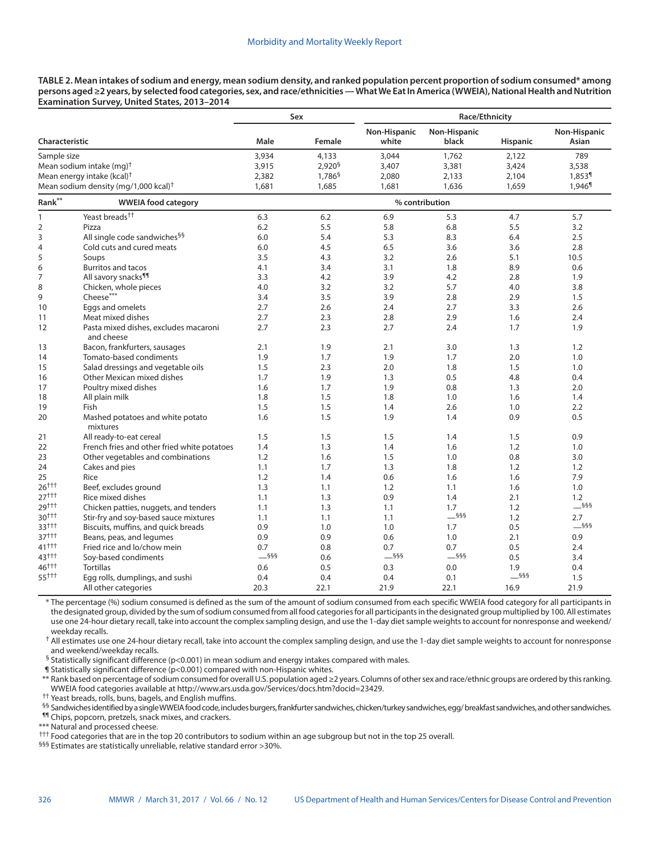**TABLE 2. Mean intakes of sodium and energy, mean sodium density, and ranked population percent proportion of sodium consumed\* among persons aged ≥2 years, by selected food categories, sex, and race/ethnicities — What We Eat In America (WWEIA), National Health and Nutrition Examination Survey, United States, 2013–2014**

|                                                  |                                                     |         | Sex                | Race/Ethnicity        |                       |                 |                       |  |
|--------------------------------------------------|-----------------------------------------------------|---------|--------------------|-----------------------|-----------------------|-----------------|-----------------------|--|
| Characteristic                                   |                                                     | Male    | Female             | Non-Hispanic<br>white | Non-Hispanic<br>black | <b>Hispanic</b> | Non-Hispanic<br>Asian |  |
| Sample size                                      |                                                     | 3,934   | 4,133              | 3,044                 | 1,762                 | 2,122           | 789                   |  |
|                                                  | Mean sodium intake (mg) <sup>+</sup>                | 3,915   | 2,920 <sup>6</sup> | 3,407                 | 3,381                 | 3,424           | 3,538                 |  |
| Mean energy intake (kcal) <sup>†</sup>           |                                                     | 2,382   | 1,786 <sup>§</sup> | 2,080                 | 2,133                 | 2,104           | 1,853 <sup>¶</sup>    |  |
| Mean sodium density (mg/1,000 kcal) <sup>+</sup> |                                                     | 1,681   | 1,685              | 1,681                 | 1,636                 | 1,659           | 1,946 <sup>1</sup>    |  |
| Rank**                                           | <b>WWEIA food category</b>                          |         |                    | % contribution        |                       |                 |                       |  |
| 1                                                | Yeast breads <sup>††</sup>                          | 6.3     | 6.2                | 6.9                   | 5.3                   | 4.7             | 5.7                   |  |
| $\overline{2}$                                   | Pizza                                               | 6.2     | 5.5                | 5.8                   | 6.8                   | 5.5             | 3.2                   |  |
| 3                                                | All single code sandwiches <sup>§§</sup>            | 6.0     | 5.4                | 5.3                   | 8.3                   | 6.4             | 2.5                   |  |
| $\overline{4}$                                   | Cold cuts and cured meats                           | 6.0     | 4.5                | 6.5                   | 3.6                   | 3.6             | 2.8                   |  |
| 5                                                | Soups                                               | 3.5     | 4.3                | 3.2                   | 2.6                   | 5.1             | 10.5                  |  |
| 6                                                | <b>Burritos and tacos</b>                           | 4.1     | 3.4                | 3.1                   | 1.8                   | 8.9             | 0.6                   |  |
| $\overline{7}$                                   | All savory snacks <sup>11</sup>                     | 3.3     | 4.2                | 3.9                   | 4.2                   | 2.8             | 1.9                   |  |
| 8                                                | Chicken, whole pieces                               | 4.0     | 3.2                | 3.2                   | 5.7                   | 4.0             | 3.8                   |  |
| 9                                                | Cheese***                                           | 3.4     | 3.5                | 3.9                   | 2.8                   | 2.9             | 1.5                   |  |
| 10                                               | Eggs and omelets                                    | 2.7     | 2.6                | 2.4                   | 2.7                   | 3.3             | 2.6                   |  |
| 11                                               | Meat mixed dishes                                   | 2.7     | 2.3                | 2.8                   | 2.9                   | 1.6             | 2.4                   |  |
| 12                                               | Pasta mixed dishes, excludes macaroni<br>and cheese | 2.7     | 2.3                | 2.7                   | 2.4                   | 1.7             | 1.9                   |  |
| 13                                               | Bacon, frankfurters, sausages                       | 2.1     | 1.9                | 2.1                   | 3.0                   | 1.3             | 1.2                   |  |
| 14                                               | Tomato-based condiments                             | 1.9     | 1.7                | 1.9                   | 1.7                   | 2.0             | 1.0                   |  |
| 15                                               | Salad dressings and vegetable oils                  | 1.5     | 2.3                | 2.0                   | 1.8                   | 1.5             | 1.0                   |  |
| 16                                               | Other Mexican mixed dishes                          | 1.7     | 1.9                | 1.3                   | 0.5                   | 4.8             | 0.4                   |  |
| 17                                               | Poultry mixed dishes                                | 1.6     | 1.7                | 1.9                   | 0.8                   | 1.3             | 2.0                   |  |
| 18                                               | All plain milk                                      | 1.8     | 1.5                | 1.8                   | 1.0                   | 1.6             | 1.4                   |  |
| 19                                               | Fish                                                | 1.5     | 1.5                | 1.4                   | 2.6                   | 1.0             | 2.2                   |  |
| 20                                               | Mashed potatoes and white potato<br>mixtures        | 1.6     | 1.5                | 1.9                   | 1.4                   | 0.9             | 0.5                   |  |
| 21                                               | All ready-to-eat cereal                             | 1.5     | 1.5                | 1.5                   | 1.4                   | 1.5             | 0.9                   |  |
| 22                                               | French fries and other fried white potatoes         | 1.4     | 1.3                | 1.4                   | 1.6                   | 1.2             | 1.0                   |  |
| 23                                               | Other vegetables and combinations                   | 1.2     | 1.6                | 1.5                   | 1.0                   | 0.8             | 3.0                   |  |
| 24                                               | Cakes and pies                                      | 1.1     | 1.7                | 1.3                   | 1.8                   | 1.2             | 1.2                   |  |
| 25                                               | Rice                                                | 1.2     | 1.4                | 0.6                   | 1.6                   | 1.6             | 7.9                   |  |
| $26^{+++}$                                       | Beef, excludes ground                               | 1.3     | 1.1                | 1.2                   | 1.1                   | 1.6             | 1.0                   |  |
| $27^{++}$                                        | Rice mixed dishes                                   | 1.1     | 1.3                | 0.9                   | 1.4                   | 2.1             | 1.2                   |  |
| 29+++                                            | Chicken patties, nuggets, and tenders               | 1.1     | 1.3                | 1.1                   | 1.7                   | 1.2             | $-$ §§§               |  |
| $30^{+++}$                                       | Stir-fry and soy-based sauce mixtures               | 1.1     | 1.1                | 1.1                   | $-$ §§§               | 1.2             | 2.7                   |  |
| $33^{+++}$                                       | Biscuits, muffins, and quick breads                 | 0.9     | 1.0                | 1.0                   | 1.7                   | 0.5             | $-$ §§§               |  |
| $37^{++1}$                                       | Beans, peas, and legumes                            | 0.9     | 0.9                | 0.6                   | 1.0                   | 2.1             | 0.9                   |  |
| $41^{++}$                                        | Fried rice and lo/chow mein                         | 0.7     | 0.8                | 0.7                   | 0.7                   | 0.5             | 2.4                   |  |
| $43^{++}$                                        | Soy-based condiments                                | $-$ §§§ | 0.6                | $-$ §§§               | $-$ §§§               | 0.5             | 3.4                   |  |
| 46 <sup>+++</sup>                                | <b>Tortillas</b>                                    | 0.6     | 0.5                | 0.3                   | 0.0                   | 1.9             | 0.4                   |  |
| 55 + + +                                         | Egg rolls, dumplings, and sushi                     | 0.4     | 0.4                | 0.4                   | 0.1                   | $-$ §§§         | 1.5                   |  |
|                                                  | All other categories                                | 20.3    | 22.1               | 21.9                  | 22.1                  | 16.9            | 21.9                  |  |

\* The percentage (%) sodium consumed is defined as the sum of the amount of sodium consumed from each specific WWEIA food category for all participants in the designated group, divided by the sum of sodium consumed from all food categories for all participants in the designated group multiplied by 100. All estimates use one 24-hour dietary recall, take into account the complex sampling design, and use the 1-day diet sample weights to account for nonresponse and weekend/ weekday recalls.

† All estimates use one 24-hour dietary recall, take into account the complex sampling design, and use the 1-day diet sample weights to account for nonresponse and weekend/weekday recalls.

§ Statistically significant difference (p<0.001) in mean sodium and energy intakes compared with males.

¶ Statistically significant difference (p<0.001) compared with non-Hispanic whites.

\*\* Rank based on percentage of sodium consumed for overall U.S. population aged ≥2 years. Columns of other sex and race/ethnic groups are ordered by this ranking. WWEIA food categories available at <http://www.ars.usda.gov/Services/docs.htm?docid=23429>. †† Yeast breads, rolls, buns, bagels, and English muffins.

§§ Sandwiches identified by a single WWEIA food code, includes burgers, frankfurter sandwiches, chicken/turkey sandwiches, egg/ breakfast sandwiches, and other sandwiches.

¶¶ Chips, popcorn, pretzels, snack mixes, and crackers.

\*\*\* Natural and processed cheese.

††† Food categories that are in the top 20 contributors to sodium within an age subgroup but not in the top 25 overall.

§§§ Estimates are statistically unreliable, relative standard error >30%.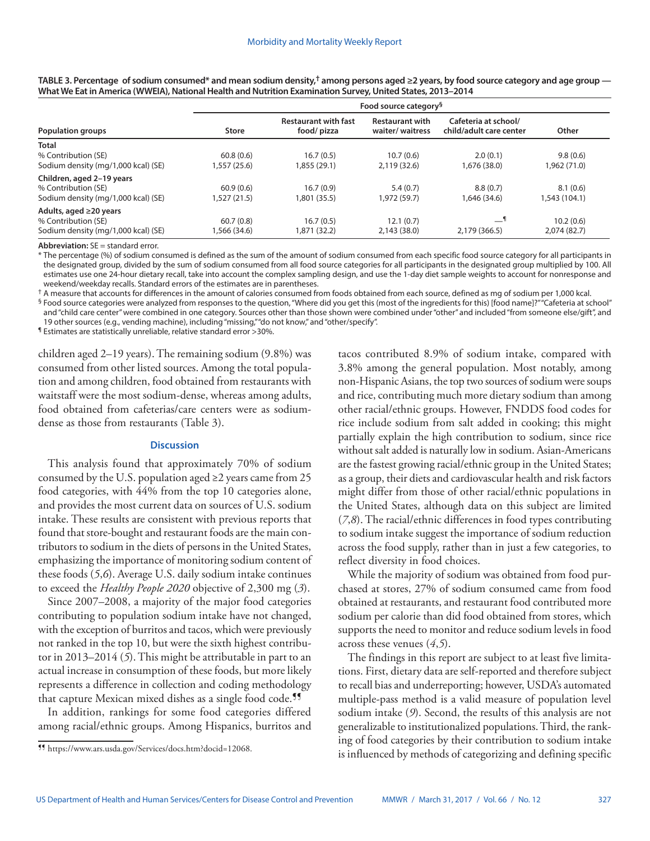|                                     | Food source category <sup>§</sup> |                                           |                                           |                                                 |               |  |  |  |  |
|-------------------------------------|-----------------------------------|-------------------------------------------|-------------------------------------------|-------------------------------------------------|---------------|--|--|--|--|
| <b>Population groups</b>            | <b>Store</b>                      | <b>Restaurant with fast</b><br>food/pizza | <b>Restaurant with</b><br>waiter/waitress | Cafeteria at school/<br>child/adult care center | Other         |  |  |  |  |
| <b>Total</b>                        |                                   |                                           |                                           |                                                 |               |  |  |  |  |
| % Contribution (SE)                 | 60.8(0.6)                         | 16.7(0.5)                                 | 10.7(0.6)                                 | 2.0(0.1)                                        | 9.8(0.6)      |  |  |  |  |
| Sodium density (mg/1,000 kcal) (SE) | 1,557 (25.6)                      | 1,855 (29.1)                              | 2.119(32.6)                               | 1,676 (38.0)                                    | 1,962 (71.0)  |  |  |  |  |
| Children, aged 2-19 years           |                                   |                                           |                                           |                                                 |               |  |  |  |  |
| % Contribution (SE)                 | 60.9(0.6)                         | 16.7(0.9)                                 | 5.4(0.7)                                  | 8.8(0.7)                                        | 8.1(0.6)      |  |  |  |  |
| Sodium density (mg/1,000 kcal) (SE) | 1,527 (21.5)                      | 1,801 (35.5)                              | 1,972 (59.7)                              | 1,646 (34.6)                                    | 1,543 (104.1) |  |  |  |  |
| Adults, aged ≥20 years              |                                   |                                           |                                           |                                                 |               |  |  |  |  |
| % Contribution (SE)                 | 60.7(0.8)                         | 16.7(0.5)                                 | 12.1(0.7)                                 |                                                 | 10.2(0.6)     |  |  |  |  |
| Sodium density (mg/1,000 kcal) (SE) | 1,566 (34.6)                      | 1,871 (32.2)                              | 2.143(38.0)                               | 2,179 (366.5)                                   | 2.074(82.7)   |  |  |  |  |

**TABLE 3. Percentage of sodium consumed\* and mean sodium density,† among persons aged ≥2 years, by food source category and age group — What We Eat in America (WWEIA), National Health and Nutrition Examination Survey, United States, 2013–2014**

**Abbreviation:** SE = standard error.

\* The percentage (%) of sodium consumed is defined as the sum of the amount of sodium consumed from each specific food source category for all participants in the designated group, divided by the sum of sodium consumed from all food source categories for all participants in the designated group multiplied by 100. All estimates use one 24-hour dietary recall, take into account the complex sampling design, and use the 1-day diet sample weights to account for nonresponse and weekend/weekday recalls. Standard errors of the estimates are in parentheses.

† A measure that accounts for differences in the amount of calories consumed from foods obtained from each source, defined as mg of sodium per 1,000 kcal.

§ Food source categories were analyzed from responses to the question, "Where did you get this (most of the ingredients for this) [food name]?" "Cafeteria at school" and "child care center" were combined in one category. Sources other than those shown were combined under "other" and included "from someone else/gift", and 19 other sources (e.g., vending machine), including "missing," "do not know," and "other/specify".

¶ Estimates are statistically unreliable, relative standard error >30%.

children aged 2–19 years). The remaining sodium (9.8%) was consumed from other listed sources. Among the total population and among children, food obtained from restaurants with waitstaff were the most sodium-dense, whereas among adults, food obtained from cafeterias/care centers were as sodiumdense as those from restaurants (Table 3).

# **Discussion**

This analysis found that approximately 70% of sodium consumed by the U.S. population aged  $\geq$  2 years came from 25 food categories, with 44% from the top 10 categories alone, and provides the most current data on sources of U.S. sodium intake. These results are consistent with previous reports that found that store-bought and restaurant foods are the main contributors to sodium in the diets of persons in the United States, emphasizing the importance of monitoring sodium content of these foods (*5*,*6*). Average U.S. daily sodium intake continues to exceed the *Healthy People 2020* objective of 2,300 mg (*3*).

Since 2007–2008, a majority of the major food categories contributing to population sodium intake have not changed, with the exception of burritos and tacos, which were previously not ranked in the top 10, but were the sixth highest contributor in 2013–2014 (*5*). This might be attributable in part to an actual increase in consumption of these foods, but more likely represents a difference in collection and coding methodology that capture Mexican mixed dishes as a single food code.<sup>11</sup>

In addition, rankings for some food categories differed among racial/ethnic groups. Among Hispanics, burritos and tacos contributed 8.9% of sodium intake, compared with 3.8% among the general population. Most notably, among non-Hispanic Asians, the top two sources of sodium were soups and rice, contributing much more dietary sodium than among other racial/ethnic groups. However, FNDDS food codes for rice include sodium from salt added in cooking; this might partially explain the high contribution to sodium, since rice without salt added is naturally low in sodium. Asian-Americans are the fastest growing racial/ethnic group in the United States; as a group, their diets and cardiovascular health and risk factors might differ from those of other racial/ethnic populations in the United States, although data on this subject are limited (*7*,*8*). The racial/ethnic differences in food types contributing to sodium intake suggest the importance of sodium reduction across the food supply, rather than in just a few categories, to reflect diversity in food choices.

While the majority of sodium was obtained from food purchased at stores, 27% of sodium consumed came from food obtained at restaurants, and restaurant food contributed more sodium per calorie than did food obtained from stores, which supports the need to monitor and reduce sodium levels in food across these venues (*4*,*5*).

The findings in this report are subject to at least five limitations. First, dietary data are self-reported and therefore subject to recall bias and underreporting; however, USDA's automated multiple-pass method is a valid measure of population level sodium intake (*9*). Second, the results of this analysis are not generalizable to institutionalized populations. Third, the ranking of food categories by their contribution to sodium intake is influenced by methods of categorizing and defining specific

<sup>¶¶</sup> [https://www.ars.usda.gov/Services/docs.htm?docid=12068.](https://www.healthypeople.gov/2020/topics-objectives)